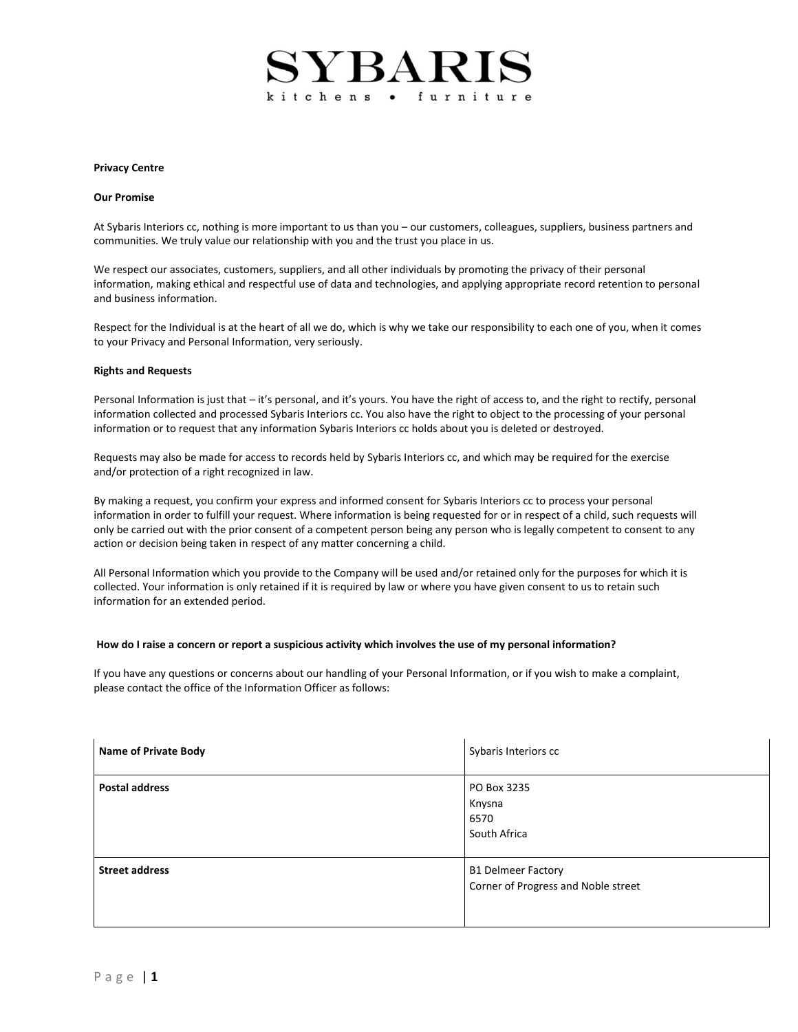# SYBARI kitchens • furniture

#### **Privacy Centre**

## **Our Promise**

At Sybaris Interiors cc, nothing is more important to us than you – our customers, colleagues, suppliers, business partners and communities. We truly value our relationship with you and the trust you place in us.

We respect our associates, customers, suppliers, and all other individuals by promoting the privacy of their personal information, making ethical and respectful use of data and technologies, and applying appropriate record retention to personal and business information.

Respect for the Individual is at the heart of all we do, which is why we take our responsibility to each one of you, when it comes to your Privacy and Personal Information, very seriously.

#### **Rights and Requests**

Personal Information is just that – it's personal, and it's yours. You have the right of access to, and the right to rectify, personal information collected and processed Sybaris Interiors cc. You also have the right to object to the processing of your personal information or to request that any information Sybaris Interiors cc holds about you is deleted or destroyed.

Requests may also be made for access to records held by Sybaris Interiors cc, and which may be required for the exercise and/or protection of a right recognized in law.

By making a request, you confirm your express and informed consent for Sybaris Interiors cc to process your personal information in order to fulfill your request. Where information is being requested for or in respect of a child, such requests will only be carried out with the prior consent of a competent person being any person who is legally competent to consent to any action or decision being taken in respect of any matter concerning a child.

All Personal Information which you provide to the Company will be used and/or retained only for the purposes for which it is collected. Your information is only retained if it is required by law or where you have given consent to us to retain such information for an extended period.

## **How do I raise a concern or report a suspicious activity which involves the use of my personal information?**

If you have any questions or concerns about our handling of your Personal Information, or if you wish to make a complaint, please contact the office of the Information Officer as follows:

| <b>Name of Private Body</b> | Sybaris Interiors cc                                             |
|-----------------------------|------------------------------------------------------------------|
| <b>Postal address</b>       | PO Box 3235<br>Knysna<br>6570<br>South Africa                    |
| <b>Street address</b>       | <b>B1 Delmeer Factory</b><br>Corner of Progress and Noble street |